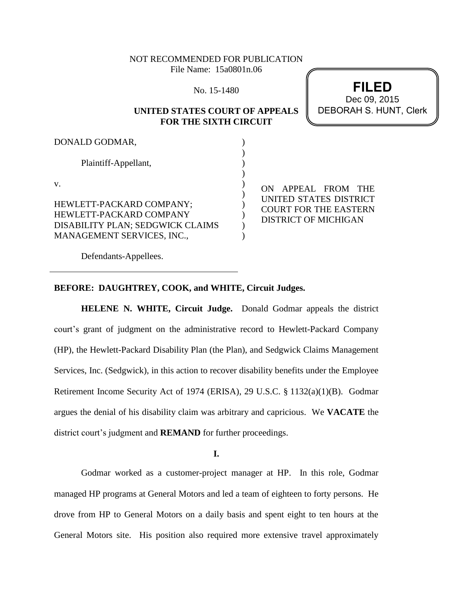# NOT RECOMMENDED FOR PUBLICATION File Name: 15a0801n.06

No. 15-1480

## **UNITED STATES COURT OF APPEALS FOR THE SIXTH CIRCUIT**



| DONALD GODMAR,                   |  |
|----------------------------------|--|
| Plaintiff-Appellant,             |  |
| V.                               |  |
| HEWLETT-PACKARD COMPANY;         |  |
| HEWLETT-PACKARD COMPANY          |  |
| DISABILITY PLAN; SEDGWICK CLAIMS |  |
| MANAGEMENT SERVICES, INC.,       |  |

ON APPEAL FROM THE UNITED STATES DISTRICT COURT FOR THE EASTERN DISTRICT OF MICHIGAN

Defendants-Appellees.

#### **BEFORE: DAUGHTREY, COOK, and WHITE, Circuit Judges.**

**HELENE N. WHITE, Circuit Judge.** Donald Godmar appeals the district court's grant of judgment on the administrative record to Hewlett-Packard Company (HP), the Hewlett-Packard Disability Plan (the Plan), and Sedgwick Claims Management Services, Inc. (Sedgwick), in this action to recover disability benefits under the Employee Retirement Income Security Act of 1974 (ERISA), 29 U.S.C. § 1132(a)(1)(B). Godmar argues the denial of his disability claim was arbitrary and capricious. We **VACATE** the district court's judgment and **REMAND** for further proceedings.

**I.**

Godmar worked as a customer-project manager at HP. In this role, Godmar managed HP programs at General Motors and led a team of eighteen to forty persons. He drove from HP to General Motors on a daily basis and spent eight to ten hours at the General Motors site. His position also required more extensive travel approximately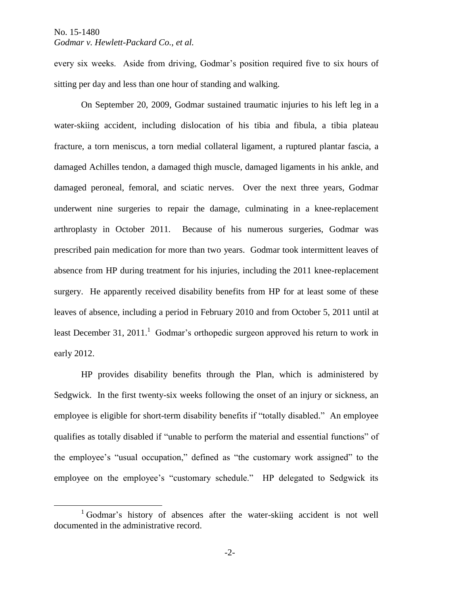$\overline{a}$ 

# *Godmar v. Hewlett-Packard Co., et al.*

every six weeks. Aside from driving, Godmar's position required five to six hours of sitting per day and less than one hour of standing and walking.

On September 20, 2009, Godmar sustained traumatic injuries to his left leg in a water-skiing accident, including dislocation of his tibia and fibula, a tibia plateau fracture, a torn meniscus, a torn medial collateral ligament, a ruptured plantar fascia, a damaged Achilles tendon, a damaged thigh muscle, damaged ligaments in his ankle, and damaged peroneal, femoral, and sciatic nerves. Over the next three years, Godmar underwent nine surgeries to repair the damage, culminating in a knee-replacement arthroplasty in October 2011. Because of his numerous surgeries, Godmar was prescribed pain medication for more than two years. Godmar took intermittent leaves of absence from HP during treatment for his injuries, including the 2011 knee-replacement surgery. He apparently received disability benefits from HP for at least some of these leaves of absence, including a period in February 2010 and from October 5, 2011 until at least December 31, 2011.<sup>1</sup> Godmar's orthopedic surgeon approved his return to work in early 2012.

HP provides disability benefits through the Plan, which is administered by Sedgwick. In the first twenty-six weeks following the onset of an injury or sickness, an employee is eligible for short-term disability benefits if "totally disabled." An employee qualifies as totally disabled if "unable to perform the material and essential functions" of the employee's "usual occupation," defined as "the customary work assigned" to the employee on the employee's "customary schedule." HP delegated to Sedgwick its

<sup>&</sup>lt;sup>1</sup> Godmar's history of absences after the water-skiing accident is not well documented in the administrative record.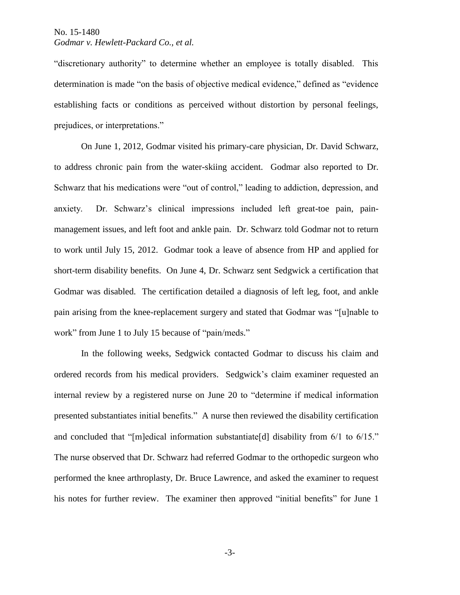"discretionary authority" to determine whether an employee is totally disabled. This determination is made "on the basis of objective medical evidence," defined as "evidence establishing facts or conditions as perceived without distortion by personal feelings, prejudices, or interpretations."

On June 1, 2012, Godmar visited his primary-care physician, Dr. David Schwarz, to address chronic pain from the water-skiing accident. Godmar also reported to Dr. Schwarz that his medications were "out of control," leading to addiction, depression, and anxiety. Dr. Schwarz's clinical impressions included left great-toe pain, painmanagement issues, and left foot and ankle pain. Dr. Schwarz told Godmar not to return to work until July 15, 2012. Godmar took a leave of absence from HP and applied for short-term disability benefits. On June 4, Dr. Schwarz sent Sedgwick a certification that Godmar was disabled. The certification detailed a diagnosis of left leg, foot, and ankle pain arising from the knee-replacement surgery and stated that Godmar was "[u]nable to work" from June 1 to July 15 because of "pain/meds."

In the following weeks, Sedgwick contacted Godmar to discuss his claim and ordered records from his medical providers. Sedgwick's claim examiner requested an internal review by a registered nurse on June 20 to "determine if medical information presented substantiates initial benefits." A nurse then reviewed the disability certification and concluded that "[m]edical information substantiate[d] disability from 6/1 to 6/15." The nurse observed that Dr. Schwarz had referred Godmar to the orthopedic surgeon who performed the knee arthroplasty, Dr. Bruce Lawrence, and asked the examiner to request his notes for further review. The examiner then approved "initial benefits" for June 1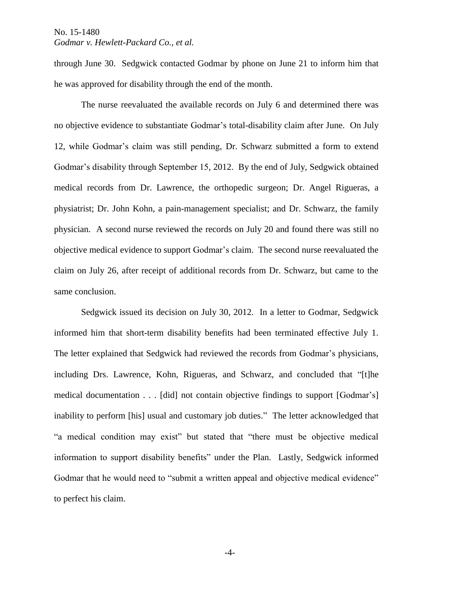# *Godmar v. Hewlett-Packard Co., et al.*

through June 30. Sedgwick contacted Godmar by phone on June 21 to inform him that he was approved for disability through the end of the month.

The nurse reevaluated the available records on July 6 and determined there was no objective evidence to substantiate Godmar's total-disability claim after June. On July 12, while Godmar's claim was still pending, Dr. Schwarz submitted a form to extend Godmar's disability through September 15, 2012. By the end of July, Sedgwick obtained medical records from Dr. Lawrence, the orthopedic surgeon; Dr. Angel Rigueras, a physiatrist; Dr. John Kohn, a pain-management specialist; and Dr. Schwarz, the family physician. A second nurse reviewed the records on July 20 and found there was still no objective medical evidence to support Godmar's claim. The second nurse reevaluated the claim on July 26, after receipt of additional records from Dr. Schwarz, but came to the same conclusion.

Sedgwick issued its decision on July 30, 2012. In a letter to Godmar, Sedgwick informed him that short-term disability benefits had been terminated effective July 1. The letter explained that Sedgwick had reviewed the records from Godmar's physicians, including Drs. Lawrence, Kohn, Rigueras, and Schwarz, and concluded that "[t]he medical documentation . . . [did] not contain objective findings to support [Godmar's] inability to perform [his] usual and customary job duties." The letter acknowledged that "a medical condition may exist" but stated that "there must be objective medical information to support disability benefits" under the Plan. Lastly, Sedgwick informed Godmar that he would need to "submit a written appeal and objective medical evidence" to perfect his claim.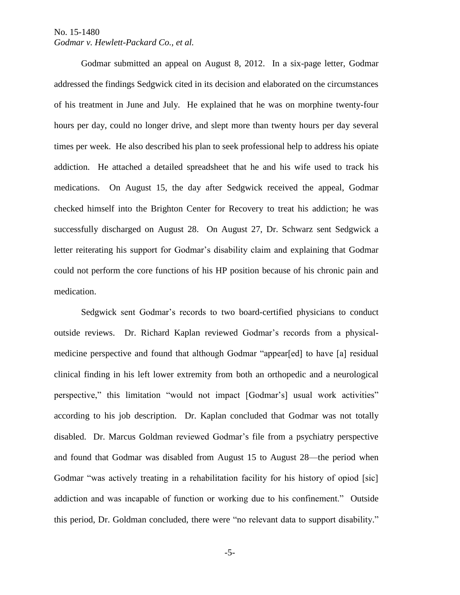Godmar submitted an appeal on August 8, 2012. In a six-page letter, Godmar addressed the findings Sedgwick cited in its decision and elaborated on the circumstances of his treatment in June and July. He explained that he was on morphine twenty-four hours per day, could no longer drive, and slept more than twenty hours per day several times per week. He also described his plan to seek professional help to address his opiate addiction. He attached a detailed spreadsheet that he and his wife used to track his medications. On August 15, the day after Sedgwick received the appeal, Godmar checked himself into the Brighton Center for Recovery to treat his addiction; he was successfully discharged on August 28. On August 27, Dr. Schwarz sent Sedgwick a letter reiterating his support for Godmar's disability claim and explaining that Godmar could not perform the core functions of his HP position because of his chronic pain and medication.

Sedgwick sent Godmar's records to two board-certified physicians to conduct outside reviews. Dr. Richard Kaplan reviewed Godmar's records from a physicalmedicine perspective and found that although Godmar "appear[ed] to have [a] residual clinical finding in his left lower extremity from both an orthopedic and a neurological perspective," this limitation "would not impact [Godmar's] usual work activities" according to his job description. Dr. Kaplan concluded that Godmar was not totally disabled. Dr. Marcus Goldman reviewed Godmar's file from a psychiatry perspective and found that Godmar was disabled from August 15 to August 28—the period when Godmar "was actively treating in a rehabilitation facility for his history of opiod [sic] addiction and was incapable of function or working due to his confinement." Outside this period, Dr. Goldman concluded, there were "no relevant data to support disability."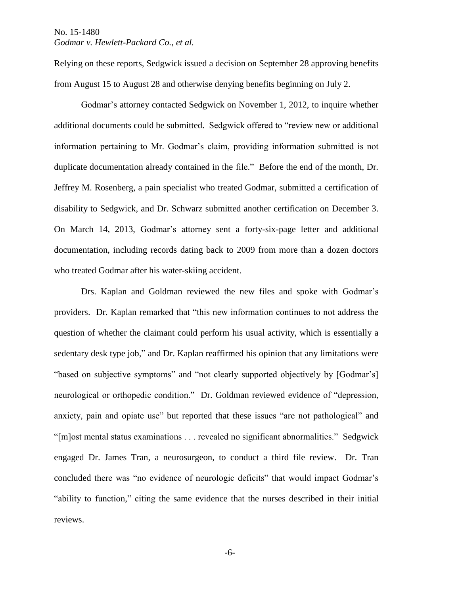Relying on these reports, Sedgwick issued a decision on September 28 approving benefits from August 15 to August 28 and otherwise denying benefits beginning on July 2.

Godmar's attorney contacted Sedgwick on November 1, 2012, to inquire whether additional documents could be submitted. Sedgwick offered to "review new or additional information pertaining to Mr. Godmar's claim, providing information submitted is not duplicate documentation already contained in the file." Before the end of the month, Dr. Jeffrey M. Rosenberg, a pain specialist who treated Godmar, submitted a certification of disability to Sedgwick, and Dr. Schwarz submitted another certification on December 3. On March 14, 2013, Godmar's attorney sent a forty-six-page letter and additional documentation, including records dating back to 2009 from more than a dozen doctors who treated Godmar after his water-skiing accident.

Drs. Kaplan and Goldman reviewed the new files and spoke with Godmar's providers. Dr. Kaplan remarked that "this new information continues to not address the question of whether the claimant could perform his usual activity, which is essentially a sedentary desk type job," and Dr. Kaplan reaffirmed his opinion that any limitations were "based on subjective symptoms" and "not clearly supported objectively by [Godmar's] neurological or orthopedic condition." Dr. Goldman reviewed evidence of "depression, anxiety, pain and opiate use" but reported that these issues "are not pathological" and "[m]ost mental status examinations . . . revealed no significant abnormalities." Sedgwick engaged Dr. James Tran, a neurosurgeon, to conduct a third file review. Dr. Tran concluded there was "no evidence of neurologic deficits" that would impact Godmar's "ability to function," citing the same evidence that the nurses described in their initial reviews.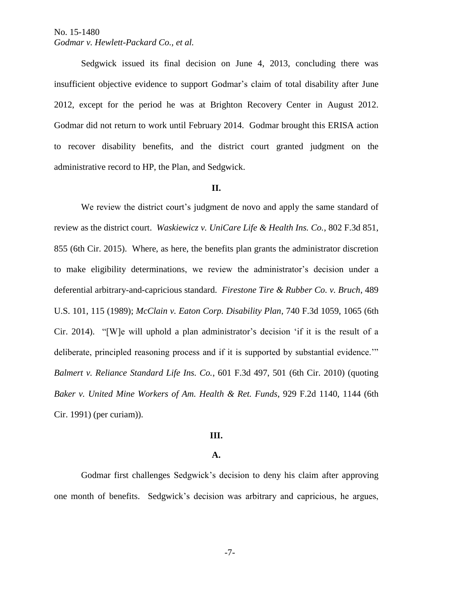Sedgwick issued its final decision on June 4, 2013, concluding there was insufficient objective evidence to support Godmar's claim of total disability after June 2012, except for the period he was at Brighton Recovery Center in August 2012. Godmar did not return to work until February 2014. Godmar brought this ERISA action to recover disability benefits, and the district court granted judgment on the administrative record to HP, the Plan, and Sedgwick.

### **II.**

We review the district court's judgment de novo and apply the same standard of review as the district court. *Waskiewicz v. UniCare Life & Health Ins. Co.*, 802 F.3d 851, 855 (6th Cir. 2015). Where, as here, the benefits plan grants the administrator discretion to make eligibility determinations, we review the administrator's decision under a deferential arbitrary-and-capricious standard. *Firestone Tire & Rubber Co. v. Bruch*, 489 U.S. 101, 115 (1989); *McClain v. Eaton Corp. Disability Plan*, 740 F.3d 1059, 1065 (6th Cir. 2014). "[W]e will uphold a plan administrator's decision 'if it is the result of a deliberate, principled reasoning process and if it is supported by substantial evidence.'" *Balmert v. Reliance Standard Life Ins. Co.*, 601 F.3d 497, 501 (6th Cir. 2010) (quoting *Baker v. United Mine Workers of Am. Health & Ret. Funds*, 929 F.2d 1140, 1144 (6th Cir. 1991) (per curiam)).

#### **III.**

#### **A.**

Godmar first challenges Sedgwick's decision to deny his claim after approving one month of benefits. Sedgwick's decision was arbitrary and capricious, he argues,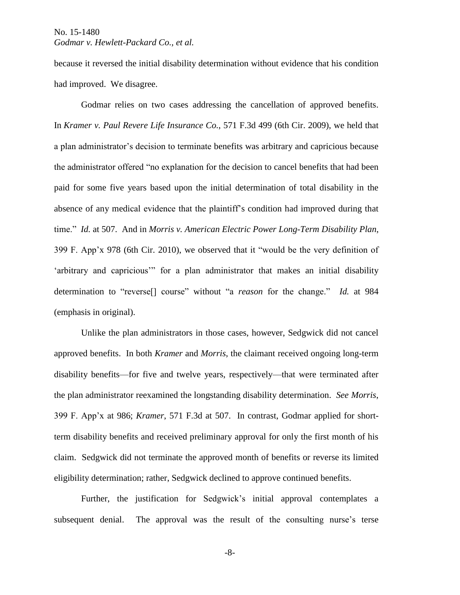because it reversed the initial disability determination without evidence that his condition had improved. We disagree.

Godmar relies on two cases addressing the cancellation of approved benefits. In *Kramer v. Paul Revere Life Insurance Co.*, 571 F.3d 499 (6th Cir. 2009), we held that a plan administrator's decision to terminate benefits was arbitrary and capricious because the administrator offered "no explanation for the decision to cancel benefits that had been paid for some five years based upon the initial determination of total disability in the absence of any medical evidence that the plaintiff's condition had improved during that time." *Id.* at 507. And in *Morris v. American Electric Power Long-Term Disability Plan*, 399 F. App'x 978 (6th Cir. 2010), we observed that it "would be the very definition of 'arbitrary and capricious'" for a plan administrator that makes an initial disability determination to "reverse[] course" without "a *reason* for the change." *Id.* at 984 (emphasis in original).

Unlike the plan administrators in those cases, however, Sedgwick did not cancel approved benefits. In both *Kramer* and *Morris*, the claimant received ongoing long-term disability benefits—for five and twelve years, respectively—that were terminated after the plan administrator reexamined the longstanding disability determination. *See Morris*, 399 F. App'x at 986; *Kramer*, 571 F.3d at 507. In contrast, Godmar applied for shortterm disability benefits and received preliminary approval for only the first month of his claim. Sedgwick did not terminate the approved month of benefits or reverse its limited eligibility determination; rather, Sedgwick declined to approve continued benefits.

Further, the justification for Sedgwick's initial approval contemplates a subsequent denial. The approval was the result of the consulting nurse's terse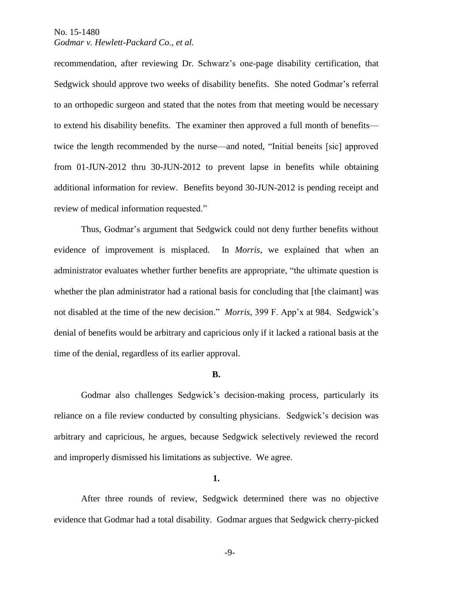recommendation, after reviewing Dr. Schwarz's one-page disability certification, that Sedgwick should approve two weeks of disability benefits. She noted Godmar's referral to an orthopedic surgeon and stated that the notes from that meeting would be necessary to extend his disability benefits. The examiner then approved a full month of benefits twice the length recommended by the nurse—and noted, "Initial beneits [sic] approved from 01-JUN-2012 thru 30-JUN-2012 to prevent lapse in benefits while obtaining additional information for review. Benefits beyond 30-JUN-2012 is pending receipt and review of medical information requested."

Thus, Godmar's argument that Sedgwick could not deny further benefits without evidence of improvement is misplaced. In *Morris*, we explained that when an administrator evaluates whether further benefits are appropriate, "the ultimate question is whether the plan administrator had a rational basis for concluding that [the claimant] was not disabled at the time of the new decision." *Morris*, 399 F. App'x at 984. Sedgwick's denial of benefits would be arbitrary and capricious only if it lacked a rational basis at the time of the denial, regardless of its earlier approval.

#### **B.**

Godmar also challenges Sedgwick's decision-making process, particularly its reliance on a file review conducted by consulting physicians. Sedgwick's decision was arbitrary and capricious, he argues, because Sedgwick selectively reviewed the record and improperly dismissed his limitations as subjective. We agree.

**1.**

After three rounds of review, Sedgwick determined there was no objective evidence that Godmar had a total disability. Godmar argues that Sedgwick cherry-picked

-9-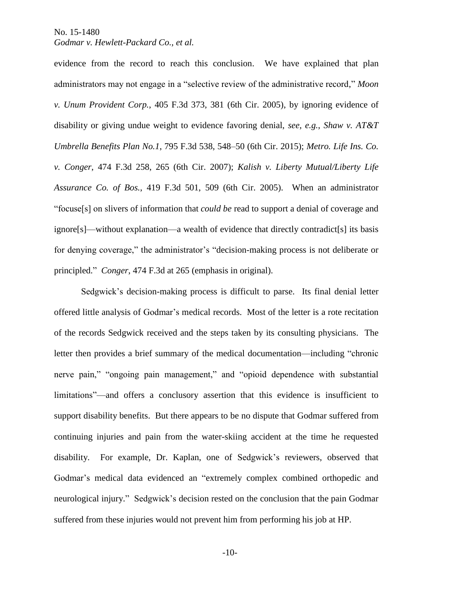# *Godmar v. Hewlett-Packard Co., et al.*

evidence from the record to reach this conclusion. We have explained that plan administrators may not engage in a "selective review of the administrative record," *Moon v. Unum Provident Corp.*, 405 F.3d 373, 381 (6th Cir. 2005), by ignoring evidence of disability or giving undue weight to evidence favoring denial, *see, e.g.*, *Shaw v. AT&T Umbrella Benefits Plan No.1*, 795 F.3d 538, 548–50 (6th Cir. 2015); *Metro. Life Ins. Co. v. Conger*, 474 F.3d 258, 265 (6th Cir. 2007); *Kalish v. Liberty Mutual/Liberty Life Assurance Co. of Bos.*, 419 F.3d 501, 509 (6th Cir. 2005). When an administrator "focuse[s] on slivers of information that *could be* read to support a denial of coverage and ignore[s]—without explanation—a wealth of evidence that directly contradict[s] its basis for denying coverage," the administrator's "decision-making process is not deliberate or principled." *Conger*, 474 F.3d at 265 (emphasis in original).

Sedgwick's decision-making process is difficult to parse. Its final denial letter offered little analysis of Godmar's medical records. Most of the letter is a rote recitation of the records Sedgwick received and the steps taken by its consulting physicians. The letter then provides a brief summary of the medical documentation—including "chronic nerve pain," "ongoing pain management," and "opioid dependence with substantial limitations"—and offers a conclusory assertion that this evidence is insufficient to support disability benefits. But there appears to be no dispute that Godmar suffered from continuing injuries and pain from the water-skiing accident at the time he requested disability. For example, Dr. Kaplan, one of Sedgwick's reviewers, observed that Godmar's medical data evidenced an "extremely complex combined orthopedic and neurological injury." Sedgwick's decision rested on the conclusion that the pain Godmar suffered from these injuries would not prevent him from performing his job at HP.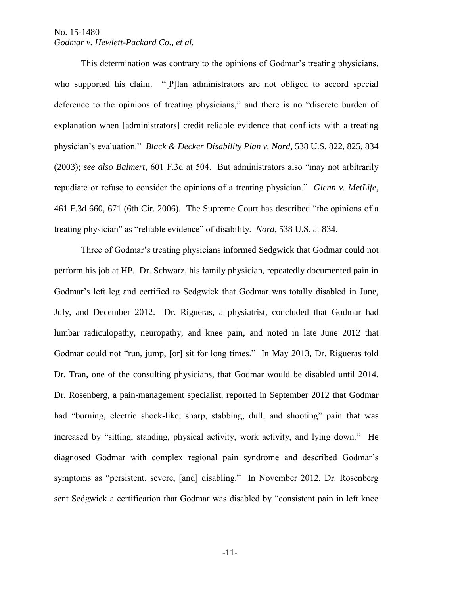This determination was contrary to the opinions of Godmar's treating physicians, who supported his claim. "[P]lan administrators are not obliged to accord special deference to the opinions of treating physicians," and there is no "discrete burden of explanation when [administrators] credit reliable evidence that conflicts with a treating physician's evaluation." *Black & Decker Disability Plan v. Nord*, 538 U.S*.* 822, 825, 834 (2003); *see also Balmert*, 601 F.3d at 504. But administrators also "may not arbitrarily repudiate or refuse to consider the opinions of a treating physician." *Glenn v. MetLife*, 461 F.3d 660, 671 (6th Cir. 2006). The Supreme Court has described "the opinions of a treating physician" as "reliable evidence" of disability. *Nord*, 538 U.S. at 834.

Three of Godmar's treating physicians informed Sedgwick that Godmar could not perform his job at HP. Dr. Schwarz, his family physician, repeatedly documented pain in Godmar's left leg and certified to Sedgwick that Godmar was totally disabled in June, July, and December 2012. Dr. Rigueras, a physiatrist, concluded that Godmar had lumbar radiculopathy, neuropathy, and knee pain, and noted in late June 2012 that Godmar could not "run, jump, [or] sit for long times." In May 2013, Dr. Rigueras told Dr. Tran, one of the consulting physicians, that Godmar would be disabled until 2014. Dr. Rosenberg, a pain-management specialist, reported in September 2012 that Godmar had "burning, electric shock-like, sharp, stabbing, dull, and shooting" pain that was increased by "sitting, standing, physical activity, work activity, and lying down." He diagnosed Godmar with complex regional pain syndrome and described Godmar's symptoms as "persistent, severe, [and] disabling." In November 2012, Dr. Rosenberg sent Sedgwick a certification that Godmar was disabled by "consistent pain in left knee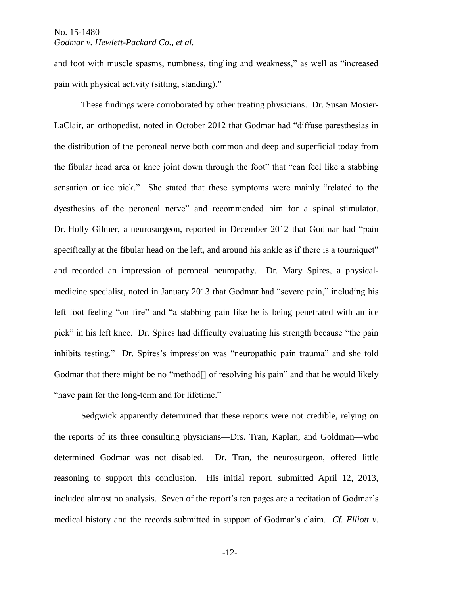# *Godmar v. Hewlett-Packard Co., et al.*

and foot with muscle spasms, numbness, tingling and weakness," as well as "increased pain with physical activity (sitting, standing)."

These findings were corroborated by other treating physicians. Dr. Susan Mosier-LaClair, an orthopedist, noted in October 2012 that Godmar had "diffuse paresthesias in the distribution of the peroneal nerve both common and deep and superficial today from the fibular head area or knee joint down through the foot" that "can feel like a stabbing sensation or ice pick." She stated that these symptoms were mainly "related to the dyesthesias of the peroneal nerve" and recommended him for a spinal stimulator. Dr. Holly Gilmer, a neurosurgeon, reported in December 2012 that Godmar had "pain specifically at the fibular head on the left, and around his ankle as if there is a tourniquet" and recorded an impression of peroneal neuropathy. Dr. Mary Spires, a physicalmedicine specialist, noted in January 2013 that Godmar had "severe pain," including his left foot feeling "on fire" and "a stabbing pain like he is being penetrated with an ice pick" in his left knee. Dr. Spires had difficulty evaluating his strength because "the pain inhibits testing." Dr. Spires's impression was "neuropathic pain trauma" and she told Godmar that there might be no "method<sup>[]</sup> of resolving his pain" and that he would likely "have pain for the long-term and for lifetime."

Sedgwick apparently determined that these reports were not credible, relying on the reports of its three consulting physicians—Drs. Tran, Kaplan, and Goldman—who determined Godmar was not disabled. Dr. Tran, the neurosurgeon, offered little reasoning to support this conclusion. His initial report, submitted April 12, 2013, included almost no analysis. Seven of the report's ten pages are a recitation of Godmar's medical history and the records submitted in support of Godmar's claim. *Cf. Elliott v.*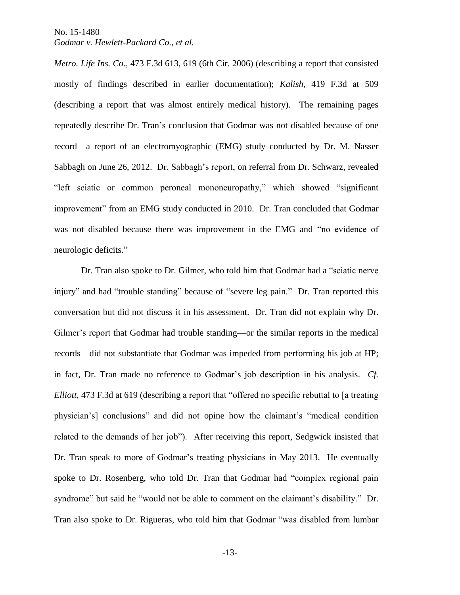*Metro. Life Ins. Co.*, 473 F.3d 613, 619 (6th Cir. 2006) (describing a report that consisted mostly of findings described in earlier documentation); *Kalish*, 419 F.3d at 509 (describing a report that was almost entirely medical history). The remaining pages repeatedly describe Dr. Tran's conclusion that Godmar was not disabled because of one record—a report of an electromyographic (EMG) study conducted by Dr. M. Nasser Sabbagh on June 26, 2012. Dr. Sabbagh's report, on referral from Dr. Schwarz, revealed "left sciatic or common peroneal mononeuropathy," which showed "significant improvement" from an EMG study conducted in 2010. Dr. Tran concluded that Godmar was not disabled because there was improvement in the EMG and "no evidence of neurologic deficits."

Dr. Tran also spoke to Dr. Gilmer, who told him that Godmar had a "sciatic nerve injury" and had "trouble standing" because of "severe leg pain." Dr. Tran reported this conversation but did not discuss it in his assessment. Dr. Tran did not explain why Dr. Gilmer's report that Godmar had trouble standing—or the similar reports in the medical records—did not substantiate that Godmar was impeded from performing his job at HP; in fact, Dr. Tran made no reference to Godmar's job description in his analysis. *Cf. Elliott*, 473 F.3d at 619 (describing a report that "offered no specific rebuttal to [a treating physician's] conclusions" and did not opine how the claimant's "medical condition related to the demands of her job"). After receiving this report, Sedgwick insisted that Dr. Tran speak to more of Godmar's treating physicians in May 2013. He eventually spoke to Dr. Rosenberg, who told Dr. Tran that Godmar had "complex regional pain syndrome" but said he "would not be able to comment on the claimant's disability." Dr. Tran also spoke to Dr. Rigueras, who told him that Godmar "was disabled from lumbar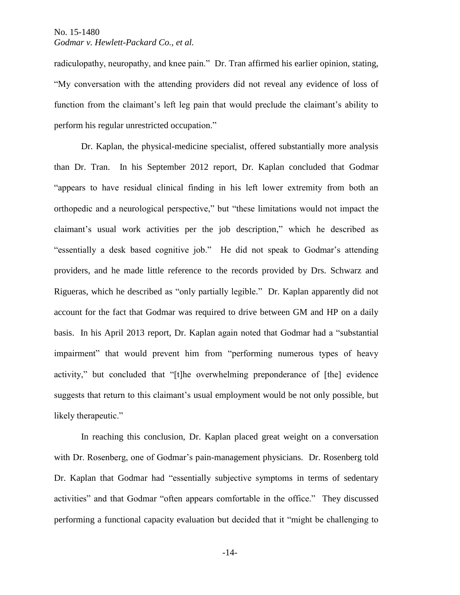radiculopathy, neuropathy, and knee pain." Dr. Tran affirmed his earlier opinion, stating, "My conversation with the attending providers did not reveal any evidence of loss of function from the claimant's left leg pain that would preclude the claimant's ability to perform his regular unrestricted occupation."

Dr. Kaplan, the physical-medicine specialist, offered substantially more analysis than Dr. Tran. In his September 2012 report, Dr. Kaplan concluded that Godmar "appears to have residual clinical finding in his left lower extremity from both an orthopedic and a neurological perspective," but "these limitations would not impact the claimant's usual work activities per the job description," which he described as "essentially a desk based cognitive job." He did not speak to Godmar's attending providers, and he made little reference to the records provided by Drs. Schwarz and Rigueras, which he described as "only partially legible." Dr. Kaplan apparently did not account for the fact that Godmar was required to drive between GM and HP on a daily basis. In his April 2013 report, Dr. Kaplan again noted that Godmar had a "substantial impairment" that would prevent him from "performing numerous types of heavy activity," but concluded that "[t]he overwhelming preponderance of [the] evidence suggests that return to this claimant's usual employment would be not only possible, but likely therapeutic."

In reaching this conclusion, Dr. Kaplan placed great weight on a conversation with Dr. Rosenberg, one of Godmar's pain-management physicians. Dr. Rosenberg told Dr. Kaplan that Godmar had "essentially subjective symptoms in terms of sedentary activities" and that Godmar "often appears comfortable in the office." They discussed performing a functional capacity evaluation but decided that it "might be challenging to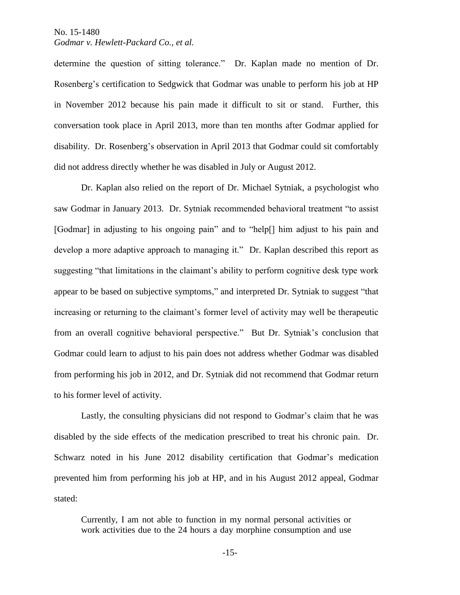determine the question of sitting tolerance." Dr. Kaplan made no mention of Dr. Rosenberg's certification to Sedgwick that Godmar was unable to perform his job at HP in November 2012 because his pain made it difficult to sit or stand. Further, this conversation took place in April 2013, more than ten months after Godmar applied for disability. Dr. Rosenberg's observation in April 2013 that Godmar could sit comfortably did not address directly whether he was disabled in July or August 2012.

Dr. Kaplan also relied on the report of Dr. Michael Sytniak, a psychologist who saw Godmar in January 2013. Dr. Sytniak recommended behavioral treatment "to assist [Godmar] in adjusting to his ongoing pain" and to "help[] him adjust to his pain and develop a more adaptive approach to managing it." Dr. Kaplan described this report as suggesting "that limitations in the claimant's ability to perform cognitive desk type work appear to be based on subjective symptoms," and interpreted Dr. Sytniak to suggest "that increasing or returning to the claimant's former level of activity may well be therapeutic from an overall cognitive behavioral perspective." But Dr. Sytniak's conclusion that Godmar could learn to adjust to his pain does not address whether Godmar was disabled from performing his job in 2012, and Dr. Sytniak did not recommend that Godmar return to his former level of activity.

Lastly, the consulting physicians did not respond to Godmar's claim that he was disabled by the side effects of the medication prescribed to treat his chronic pain. Dr. Schwarz noted in his June 2012 disability certification that Godmar's medication prevented him from performing his job at HP, and in his August 2012 appeal, Godmar stated:

Currently, I am not able to function in my normal personal activities or work activities due to the 24 hours a day morphine consumption and use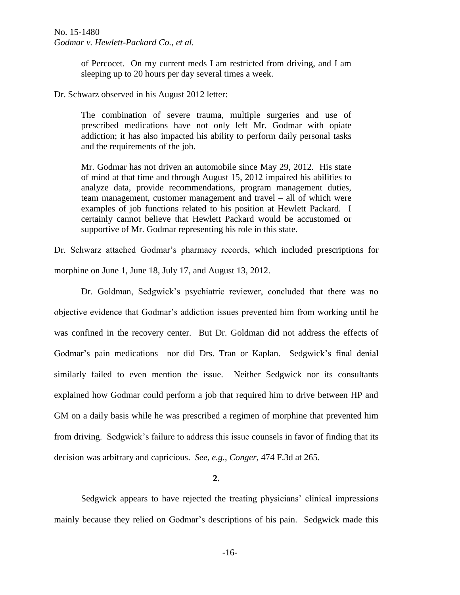of Percocet. On my current meds I am restricted from driving, and I am sleeping up to 20 hours per day several times a week.

Dr. Schwarz observed in his August 2012 letter:

The combination of severe trauma, multiple surgeries and use of prescribed medications have not only left Mr. Godmar with opiate addiction; it has also impacted his ability to perform daily personal tasks and the requirements of the job.

Mr. Godmar has not driven an automobile since May 29, 2012. His state of mind at that time and through August 15, 2012 impaired his abilities to analyze data, provide recommendations, program management duties, team management, customer management and travel – all of which were examples of job functions related to his position at Hewlett Packard. I certainly cannot believe that Hewlett Packard would be accustomed or supportive of Mr. Godmar representing his role in this state.

Dr. Schwarz attached Godmar's pharmacy records, which included prescriptions for morphine on June 1, June 18, July 17, and August 13, 2012.

Dr. Goldman, Sedgwick's psychiatric reviewer, concluded that there was no objective evidence that Godmar's addiction issues prevented him from working until he was confined in the recovery center. But Dr. Goldman did not address the effects of Godmar's pain medications—nor did Drs. Tran or Kaplan. Sedgwick's final denial similarly failed to even mention the issue. Neither Sedgwick nor its consultants explained how Godmar could perform a job that required him to drive between HP and GM on a daily basis while he was prescribed a regimen of morphine that prevented him from driving. Sedgwick's failure to address this issue counsels in favor of finding that its decision was arbitrary and capricious. *See, e.g.*, *Conger*, 474 F.3d at 265.

**2.**

Sedgwick appears to have rejected the treating physicians' clinical impressions mainly because they relied on Godmar's descriptions of his pain. Sedgwick made this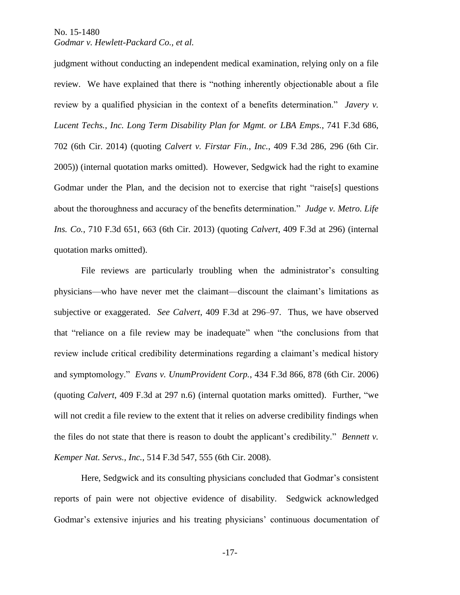judgment without conducting an independent medical examination, relying only on a file review. We have explained that there is "nothing inherently objectionable about a file review by a qualified physician in the context of a benefits determination." *Javery v. Lucent Techs., Inc. Long Term Disability Plan for Mgmt. or LBA Emps.*, 741 F.3d 686, 702 (6th Cir. 2014) (quoting *Calvert v. Firstar Fin., Inc.*, 409 F.3d 286, 296 (6th Cir. 2005)) (internal quotation marks omitted). However, Sedgwick had the right to examine Godmar under the Plan, and the decision not to exercise that right "raise[s] questions about the thoroughness and accuracy of the benefits determination." *Judge v. Metro. Life Ins. Co.*, 710 F.3d 651, 663 (6th Cir. 2013) (quoting *Calvert*, 409 F.3d at 296) (internal quotation marks omitted).

File reviews are particularly troubling when the administrator's consulting physicians—who have never met the claimant—discount the claimant's limitations as subjective or exaggerated. *See Calvert*, 409 F.3d at 296–97. Thus, we have observed that "reliance on a file review may be inadequate" when "the conclusions from that review include critical credibility determinations regarding a claimant's medical history and symptomology." *Evans v. UnumProvident Corp.*, 434 F.3d 866, 878 (6th Cir. 2006) (quoting *Calvert*, 409 F.3d at 297 n.6) (internal quotation marks omitted). Further, "we will not credit a file review to the extent that it relies on adverse credibility findings when the files do not state that there is reason to doubt the applicant's credibility." *Bennett v. Kemper Nat. Servs., Inc.*, 514 F.3d 547, 555 (6th Cir. 2008).

Here, Sedgwick and its consulting physicians concluded that Godmar's consistent reports of pain were not objective evidence of disability. Sedgwick acknowledged Godmar's extensive injuries and his treating physicians' continuous documentation of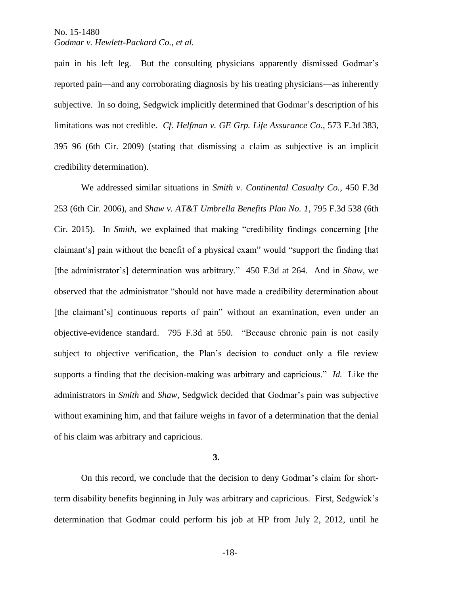pain in his left leg. But the consulting physicians apparently dismissed Godmar's reported pain—and any corroborating diagnosis by his treating physicians—as inherently subjective. In so doing, Sedgwick implicitly determined that Godmar's description of his limitations was not credible. *Cf. Helfman v. GE Grp. Life Assurance Co.*, 573 F.3d 383, 395–96 (6th Cir. 2009) (stating that dismissing a claim as subjective is an implicit credibility determination).

We addressed similar situations in *Smith v. Continental Casualty Co.*, 450 F.3d 253 (6th Cir. 2006), and *Shaw v. AT&T Umbrella Benefits Plan No. 1*, 795 F.3d 538 (6th Cir. 2015). In *Smith*, we explained that making "credibility findings concerning [the claimant's] pain without the benefit of a physical exam" would "support the finding that [the administrator's] determination was arbitrary." 450 F.3d at 264. And in *Shaw*, we observed that the administrator "should not have made a credibility determination about [the claimant's] continuous reports of pain" without an examination, even under an objective-evidence standard. 795 F.3d at 550. "Because chronic pain is not easily subject to objective verification, the Plan's decision to conduct only a file review supports a finding that the decision-making was arbitrary and capricious." *Id.* Like the administrators in *Smith* and *Shaw*, Sedgwick decided that Godmar's pain was subjective without examining him, and that failure weighs in favor of a determination that the denial of his claim was arbitrary and capricious.

**3.**

On this record, we conclude that the decision to deny Godmar's claim for shortterm disability benefits beginning in July was arbitrary and capricious. First, Sedgwick's determination that Godmar could perform his job at HP from July 2, 2012, until he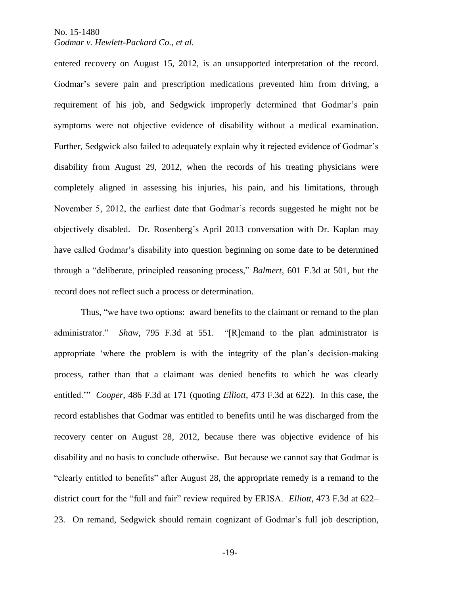## *Godmar v. Hewlett-Packard Co., et al.*

entered recovery on August 15, 2012, is an unsupported interpretation of the record. Godmar's severe pain and prescription medications prevented him from driving, a requirement of his job, and Sedgwick improperly determined that Godmar's pain symptoms were not objective evidence of disability without a medical examination. Further, Sedgwick also failed to adequately explain why it rejected evidence of Godmar's disability from August 29, 2012, when the records of his treating physicians were completely aligned in assessing his injuries, his pain, and his limitations, through November 5, 2012, the earliest date that Godmar's records suggested he might not be objectively disabled. Dr. Rosenberg's April 2013 conversation with Dr. Kaplan may have called Godmar's disability into question beginning on some date to be determined through a "deliberate, principled reasoning process," *Balmert*, 601 F.3d at 501, but the record does not reflect such a process or determination.

Thus, "we have two options: award benefits to the claimant or remand to the plan administrator." *Shaw*, 795 F.3d at 551. "[R]emand to the plan administrator is appropriate 'where the problem is with the integrity of the plan's decision-making process, rather than that a claimant was denied benefits to which he was clearly entitled.'" *Cooper*, 486 F.3d at 171 (quoting *Elliott*, 473 F.3d at 622). In this case, the record establishes that Godmar was entitled to benefits until he was discharged from the recovery center on August 28, 2012, because there was objective evidence of his disability and no basis to conclude otherwise. But because we cannot say that Godmar is "clearly entitled to benefits" after August 28, the appropriate remedy is a remand to the district court for the "full and fair" review required by ERISA. *Elliott*, 473 F.3d at 622– 23. On remand, Sedgwick should remain cognizant of Godmar's full job description,